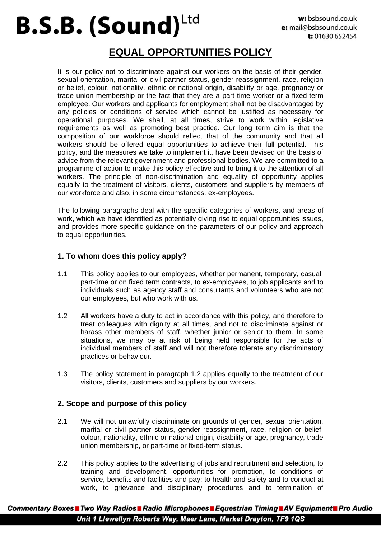## Ltd **B.S.B. (Sound)**

### **EQUAL OPPORTUNITIES POLICY**

It is our policy not to discriminate against our workers on the basis of their gender, sexual orientation, marital or civil partner status, gender reassignment, race, religion or belief, colour, nationality, ethnic or national origin, disability or age, pregnancy or trade union membership or the fact that they are a part-time worker or a fixed-term employee. Our workers and applicants for employment shall not be disadvantaged by any policies or conditions of service which cannot be justified as necessary for operational purposes. We shall, at all times, strive to work within legislative requirements as well as promoting best practice. Our long term aim is that the composition of our workforce should reflect that of the community and that all workers should be offered equal opportunities to achieve their full potential. This policy, and the measures we take to implement it, have been devised on the basis of advice from the relevant government and professional bodies. We are committed to a programme of action to make this policy effective and to bring it to the attention of all workers. The principle of non-discrimination and equality of opportunity applies equally to the treatment of visitors, clients, customers and suppliers by members of our workforce and also, in some circumstances, ex-employees.

The following paragraphs deal with the specific categories of workers, and areas of work, which we have identified as potentially giving rise to equal opportunities issues, and provides more specific guidance on the parameters of our policy and approach to equal opportunities.

#### **1. To whom does this policy apply?**

- 1.1 This policy applies to our employees, whether permanent, temporary, casual, part-time or on fixed term contracts, to ex-employees, to job applicants and to individuals such as agency staff and consultants and volunteers who are not our employees, but who work with us.
- 1.2 All workers have a duty to act in accordance with this policy, and therefore to treat colleagues with dignity at all times, and not to discriminate against or harass other members of staff, whether junior or senior to them. In some situations, we may be at risk of being held responsible for the acts of individual members of staff and will not therefore tolerate any discriminatory practices or behaviour.
- 1.3 The policy statement in paragraph 1.2 applies equally to the treatment of our visitors, clients, customers and suppliers by our workers.

#### **2. Scope and purpose of this policy**

- 2.1 We will not unlawfully discriminate on grounds of gender, sexual orientation, marital or civil partner status, gender reassignment, race, religion or belief, colour, nationality, ethnic or national origin, disability or age, pregnancy, trade union membership, or part-time or fixed-term status.
- 2.2 This policy applies to the advertising of jobs and recruitment and selection, to training and development, opportunities for promotion, to conditions of service, benefits and facilities and pay; to health and safety and to conduct at work, to grievance and disciplinary procedures and to termination of

Commentary Boxes Two Way Radios Radio Microphones Equestrian Timing NAV Equipment Pro Audio Unit 1 Llewellyn Roberts Way, Maer Lane, Market Drayton, TF9 1QS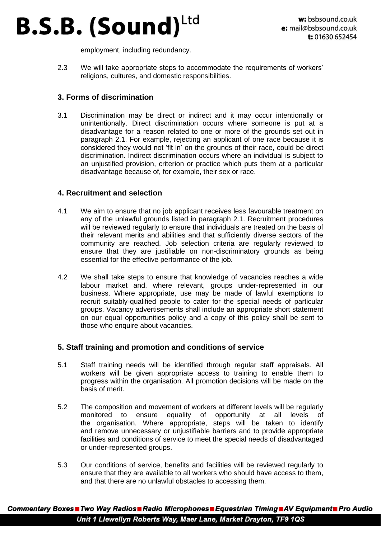## Ltd **B.S.B. (Sound)**

employment, including redundancy.

2.3 We will take appropriate steps to accommodate the requirements of workers' religions, cultures, and domestic responsibilities.

#### **3. Forms of discrimination**

3.1 Discrimination may be direct or indirect and it may occur intentionally or unintentionally. Direct discrimination occurs where someone is put at a disadvantage for a reason related to one or more of the grounds set out in paragraph 2.1. For example, rejecting an applicant of one race because it is considered they would not 'fit in' on the grounds of their race, could be direct discrimination. Indirect discrimination occurs where an individual is subject to an unjustified provision, criterion or practice which puts them at a particular disadvantage because of, for example, their sex or race.

#### **4. Recruitment and selection**

- 4.1 We aim to ensure that no job applicant receives less favourable treatment on any of the unlawful grounds listed in paragraph 2.1. Recruitment procedures will be reviewed regularly to ensure that individuals are treated on the basis of their relevant merits and abilities and that sufficiently diverse sectors of the community are reached. Job selection criteria are regularly reviewed to ensure that they are justifiable on non-discriminatory grounds as being essential for the effective performance of the job.
- 4.2 We shall take steps to ensure that knowledge of vacancies reaches a wide labour market and, where relevant, groups under-represented in our business. Where appropriate, use may be made of lawful exemptions to recruit suitably-qualified people to cater for the special needs of particular groups. Vacancy advertisements shall include an appropriate short statement on our equal opportunities policy and a copy of this policy shall be sent to those who enquire about vacancies.

#### **5. Staff training and promotion and conditions of service**

- 5.1 Staff training needs will be identified through regular staff appraisals. All workers will be given appropriate access to training to enable them to progress within the organisation. All promotion decisions will be made on the basis of merit.
- 5.2 The composition and movement of workers at different levels will be regularly monitored to ensure equality of opportunity at all levels of the organisation. Where appropriate, steps will be taken to identify and remove unnecessary or unjustifiable barriers and to provide appropriate facilities and conditions of service to meet the special needs of disadvantaged or under-represented groups.
- 5.3 Our conditions of service, benefits and facilities will be reviewed regularly to ensure that they are available to all workers who should have access to them, and that there are no unlawful obstacles to accessing them.

Commentary Boxes Two Way Radios Radio Microphones Equestrian Timing NAV Equipment Pro Audio Unit 1 Llewellyn Roberts Way, Maer Lane, Market Drayton, TF9 1QS